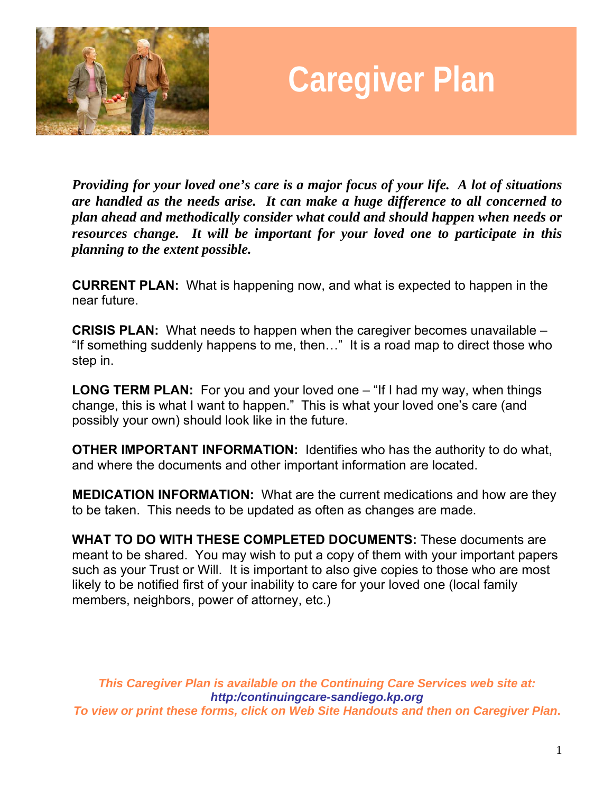

# **Caregiver Plan**

*Providing for your loved one's care is a major focus of your life. A lot of situations are handled as the needs arise. It can make a huge difference to all concerned to plan ahead and methodically consider what could and should happen when needs or resources change. It will be important for your loved one to participate in this planning to the extent possible.*

**CURRENT PLAN:** What is happening now, and what is expected to happen in the near future.

**CRISIS PLAN:** What needs to happen when the caregiver becomes unavailable – "If something suddenly happens to me, then…" It is a road map to direct those who step in.

**LONG TERM PLAN:** For you and your loved one – "If I had my way, when things change, this is what I want to happen." This is what your loved one's care (and possibly your own) should look like in the future.

**OTHER IMPORTANT INFORMATION:** Identifies who has the authority to do what, and where the documents and other important information are located.

**MEDICATION INFORMATION:** What are the current medications and how are they to be taken. This needs to be updated as often as changes are made.

**WHAT TO DO WITH THESE COMPLETED DOCUMENTS:** These documents are meant to be shared. You may wish to put a copy of them with your important papers such as your Trust or Will. It is important to also give copies to those who are most likely to be notified first of your inability to care for your loved one (local family members, neighbors, power of attorney, etc.)

*This Caregiver Plan is available on the Continuing Care Services web site at: http:/continuingcare-sandiego.kp.org To view or print these forms, click on Web Site Handouts and then on Caregiver Plan***.**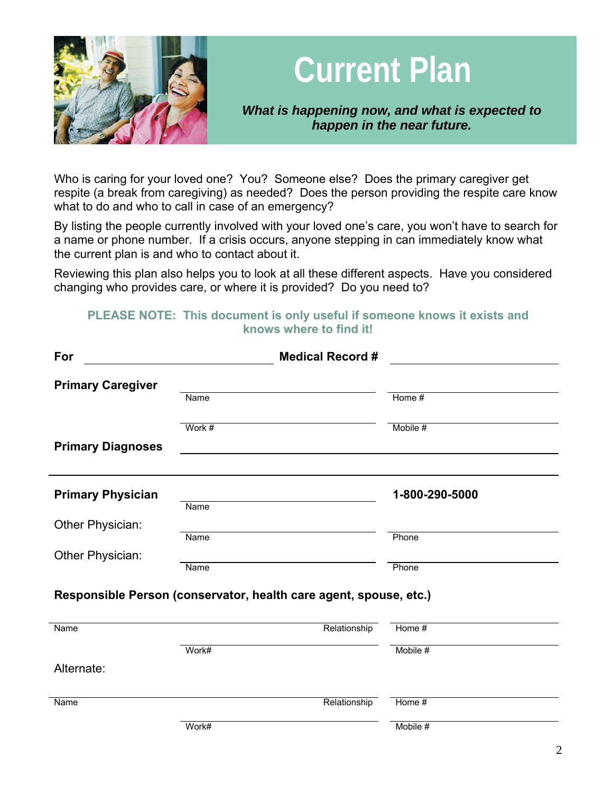

## **Current Plan**

*What is happening now, and what is expected to happen in the near future.* 

Who is caring for your loved one? You? Someone else? Does the primary caregiver get respite (a break from caregiving) as needed? Does the person providing the respite care know what to do and who to call in case of an emergency?

By listing the people currently involved with your loved one's care, you won't have to search for a name or phone number. If a crisis occurs, anyone stepping in can immediately know what the current plan is and who to contact about it.

Reviewing this plan also helps you to look at all these different aspects. Have you considered changing who provides care, or where it is provided? Do you need to?

### **PLEASE NOTE: This document is only useful if someone knows it exists and knows where to find it!**

| For                      | <b>Medical Record #</b>                                           |              |                |  |
|--------------------------|-------------------------------------------------------------------|--------------|----------------|--|
| <b>Primary Caregiver</b> |                                                                   |              |                |  |
|                          | Name                                                              |              | Home #         |  |
|                          | Work $#$                                                          |              | Mobile #       |  |
| <b>Primary Diagnoses</b> |                                                                   |              |                |  |
| <b>Primary Physician</b> | Name                                                              |              | 1-800-290-5000 |  |
| Other Physician:         |                                                                   |              |                |  |
|                          | Name                                                              |              | Phone          |  |
| Other Physician:         | Name                                                              |              | Phone          |  |
|                          | Responsible Person (conservator, health care agent, spouse, etc.) |              |                |  |
| Name                     |                                                                   | Relationship | Home #         |  |
|                          | Work#                                                             |              | Mobile #       |  |
| Alternate:               |                                                                   |              |                |  |
| Name                     |                                                                   | Relationship | Home #         |  |
|                          | Work#                                                             |              | Mobile #       |  |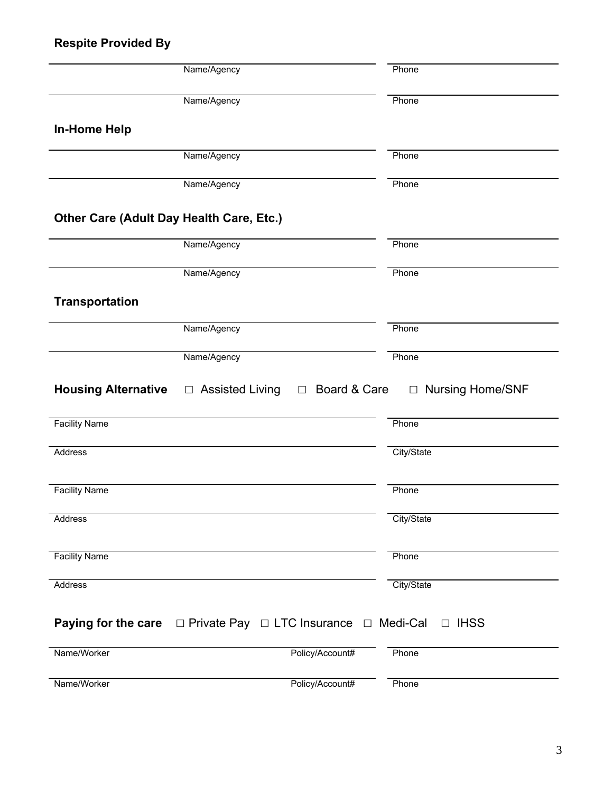## **Respite Provided By**

|                                          | Name/Agency                                                                        | Phone              |
|------------------------------------------|------------------------------------------------------------------------------------|--------------------|
|                                          | Name/Agency                                                                        | Phone              |
| <b>In-Home Help</b>                      |                                                                                    |                    |
|                                          | Name/Agency                                                                        | Phone              |
|                                          | Name/Agency                                                                        | Phone              |
| Other Care (Adult Day Health Care, Etc.) |                                                                                    |                    |
|                                          | Name/Agency                                                                        | Phone              |
|                                          | Name/Agency                                                                        | Phone              |
| <b>Transportation</b>                    |                                                                                    |                    |
|                                          | Name/Agency                                                                        | Phone              |
|                                          | Name/Agency                                                                        | Phone              |
| <b>Housing Alternative</b>               | $\Box$ Assisted Living<br>Board & Care<br>$\Box$                                   | □ Nursing Home/SNF |
| <b>Facility Name</b>                     |                                                                                    | Phone              |
| Address                                  |                                                                                    | City/State         |
|                                          |                                                                                    |                    |
| <b>Facility Name</b>                     |                                                                                    | Phone              |
| Address                                  |                                                                                    | City/State         |
| <b>Facility Name</b>                     |                                                                                    | Phone              |
| Address                                  |                                                                                    | City/State         |
|                                          | <b>Paying for the care</b> $\Box$ Private Pay $\Box$ LTC Insurance $\Box$ Medi-Cal | $\Box$ IHSS        |
| Name/Worker                              | Policy/Account#                                                                    | Phone              |
| Name/Worker                              | Policy/Account#                                                                    | Phone              |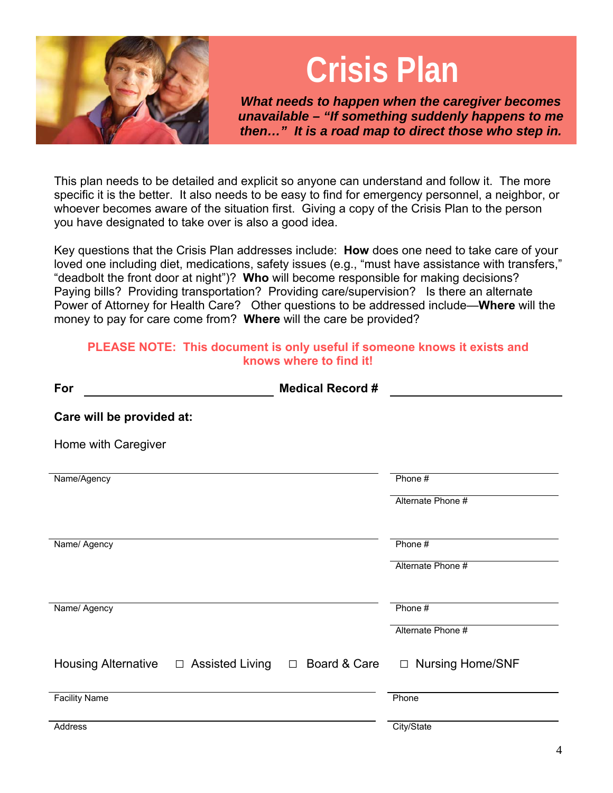

## **Crisis Plan**

*What needs to happen when the caregiver becomes unavailable – "If something suddenly happens to me then…" It is a road map to direct those who step in.* 

This plan needs to be detailed and explicit so anyone can understand and follow it. The more specific it is the better. It also needs to be easy to find for emergency personnel, a neighbor, or whoever becomes aware of the situation first. Giving a copy of the Crisis Plan to the person you have designated to take over is also a good idea.

Key questions that the Crisis Plan addresses include: **How** does one need to take care of your loved one including diet, medications, safety issues (e.g., "must have assistance with transfers," "deadbolt the front door at night")? **Who** will become responsible for making decisions? Paying bills? Providing transportation? Providing care/supervision? Is there an alternate Power of Attorney for Health Care? Other questions to be addressed include—**Where** will the money to pay for care come from? **Where** will the care be provided?

#### **PLEASE NOTE: This document is only useful if someone knows it exists and knows where to find it!**

| For                        | <b>Medical Record #</b>                    |                    |
|----------------------------|--------------------------------------------|--------------------|
| Care will be provided at:  |                                            |                    |
| Home with Caregiver        |                                            |                    |
| Name/Agency                |                                            | Phone #            |
|                            |                                            | Alternate Phone #  |
| Name/ Agency               |                                            | Phone #            |
|                            |                                            | Alternate Phone #  |
| Name/ Agency               |                                            | Phone #            |
|                            |                                            | Alternate Phone #  |
| <b>Housing Alternative</b> | $\Box$ Assisted Living $\Box$ Board & Care | □ Nursing Home/SNF |
| <b>Facility Name</b>       |                                            | Phone              |
| Address                    |                                            | City/State         |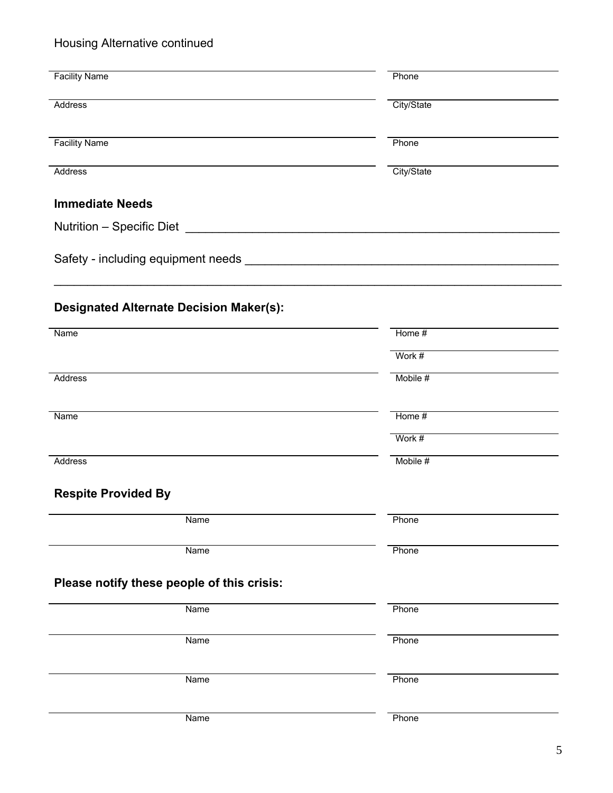## Housing Alternative continued

| <b>Facility Name</b>                           | Phone      |
|------------------------------------------------|------------|
| Address                                        | City/State |
| <b>Facility Name</b>                           | Phone      |
| Address                                        | City/State |
| <b>Immediate Needs</b>                         |            |
|                                                |            |
|                                                |            |
| <b>Designated Alternate Decision Maker(s):</b> |            |
| Name                                           | Home $#$   |
|                                                | Work #     |
| Address                                        | Mobile #   |
| Name                                           | Home #     |
|                                                | Work #     |
| Address                                        | Mobile #   |
| <b>Respite Provided By</b>                     |            |
| Name                                           | Phone      |
| Name                                           | Phone      |
| Please notify these people of this crisis:     |            |
| Name                                           | Phone      |
| Name                                           | Phone      |
| Name                                           | Phone      |
| Name                                           | Phone      |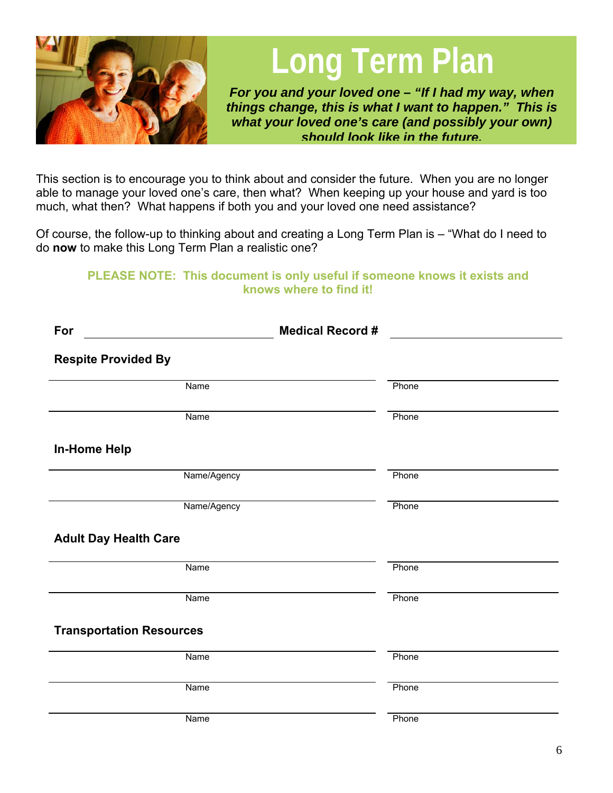

**Long Term Plan**

*For you and your loved one – "If I had my way, when things change, this is what I want to happen." This is what your loved one's care (and possibly your own) should look like in the future.*

This section is to encourage you to think about and consider the future. When you are no longer able to manage your loved one's care, then what? When keeping up your house and yard is too much, what then? What happens if both you and your loved one need assistance?

Of course, the follow-up to thinking about and creating a Long Term Plan is – "What do I need to do **now** to make this Long Term Plan a realistic one?

### **PLEASE NOTE: This document is only useful if someone knows it exists and knows where to find it!**

| For                             | <b>Medical Record #</b> |       |  |
|---------------------------------|-------------------------|-------|--|
| <b>Respite Provided By</b>      |                         |       |  |
| Name                            |                         | Phone |  |
| Name                            |                         | Phone |  |
| <b>In-Home Help</b>             |                         |       |  |
| Name/Agency                     |                         | Phone |  |
| Name/Agency                     |                         | Phone |  |
| <b>Adult Day Health Care</b>    |                         |       |  |
| Name                            |                         | Phone |  |
| Name                            |                         | Phone |  |
| <b>Transportation Resources</b> |                         |       |  |
| Name                            |                         | Phone |  |
| Name                            |                         | Phone |  |
| Name                            |                         | Phone |  |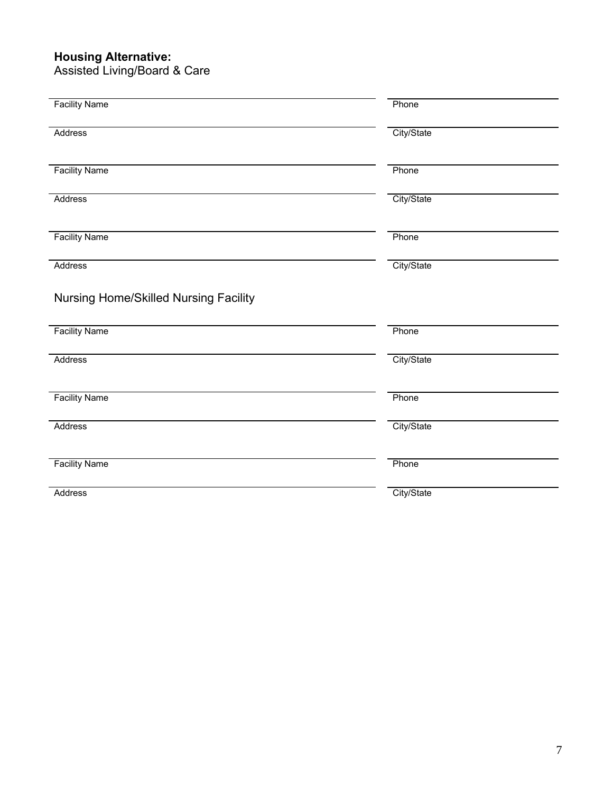#### **Housing Alternative:**

Assisted Living/Board & Care

| Phone      |
|------------|
|            |
| City/State |
| Phone      |
| City/State |
| Phone      |
| City/State |
| Phone      |
|            |
| City/State |
|            |
| Phone      |
| City/State |
| Phone      |
|            |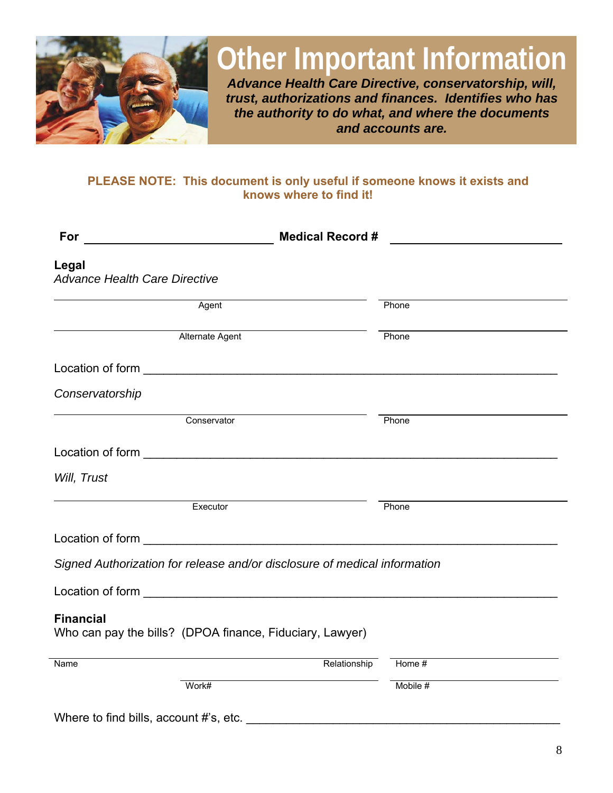

## **Other Important Information**

*Advance Health Care Directive, conservatorship, will, trust, authorizations and finances. Identifies who has the authority to do what, and where the documents and accounts are.* 

### **PLEASE NOTE: This document is only useful if someone knows it exists and knows where to find it!**

| For                                                                                                                                                                                                                                  | <b>Medical Record #</b> |          |  |
|--------------------------------------------------------------------------------------------------------------------------------------------------------------------------------------------------------------------------------------|-------------------------|----------|--|
| Legal<br><b>Advance Health Care Directive</b>                                                                                                                                                                                        |                         |          |  |
| Agent                                                                                                                                                                                                                                |                         | Phone    |  |
| Alternate Agent                                                                                                                                                                                                                      |                         | Phone    |  |
| <b>Location of form Example 2008</b>                                                                                                                                                                                                 |                         |          |  |
| Conservatorship                                                                                                                                                                                                                      |                         |          |  |
| Conservator                                                                                                                                                                                                                          |                         | Phone    |  |
| Location of form <u>example and the set of the set of the set of the set of the set of the set of the set of the set of the set of the set of the set of the set of the set of the set of the set of the set of the set of the s</u> |                         |          |  |
| Will, Trust                                                                                                                                                                                                                          |                         |          |  |
| Executor                                                                                                                                                                                                                             |                         | Phone    |  |
|                                                                                                                                                                                                                                      |                         |          |  |
| Signed Authorization for release and/or disclosure of medical information                                                                                                                                                            |                         |          |  |
|                                                                                                                                                                                                                                      |                         |          |  |
| <b>Financial</b><br>Who can pay the bills? (DPOA finance, Fiduciary, Lawyer)                                                                                                                                                         |                         |          |  |
| Name                                                                                                                                                                                                                                 | Relationship            | Home #   |  |
| Work#                                                                                                                                                                                                                                |                         | Mobile # |  |

Where to find bills, account #'s, etc. \_\_\_\_\_\_\_\_\_\_\_\_\_\_\_\_\_\_\_\_\_\_\_\_\_\_\_\_\_\_\_\_\_\_\_\_\_\_\_\_\_\_\_\_\_\_\_